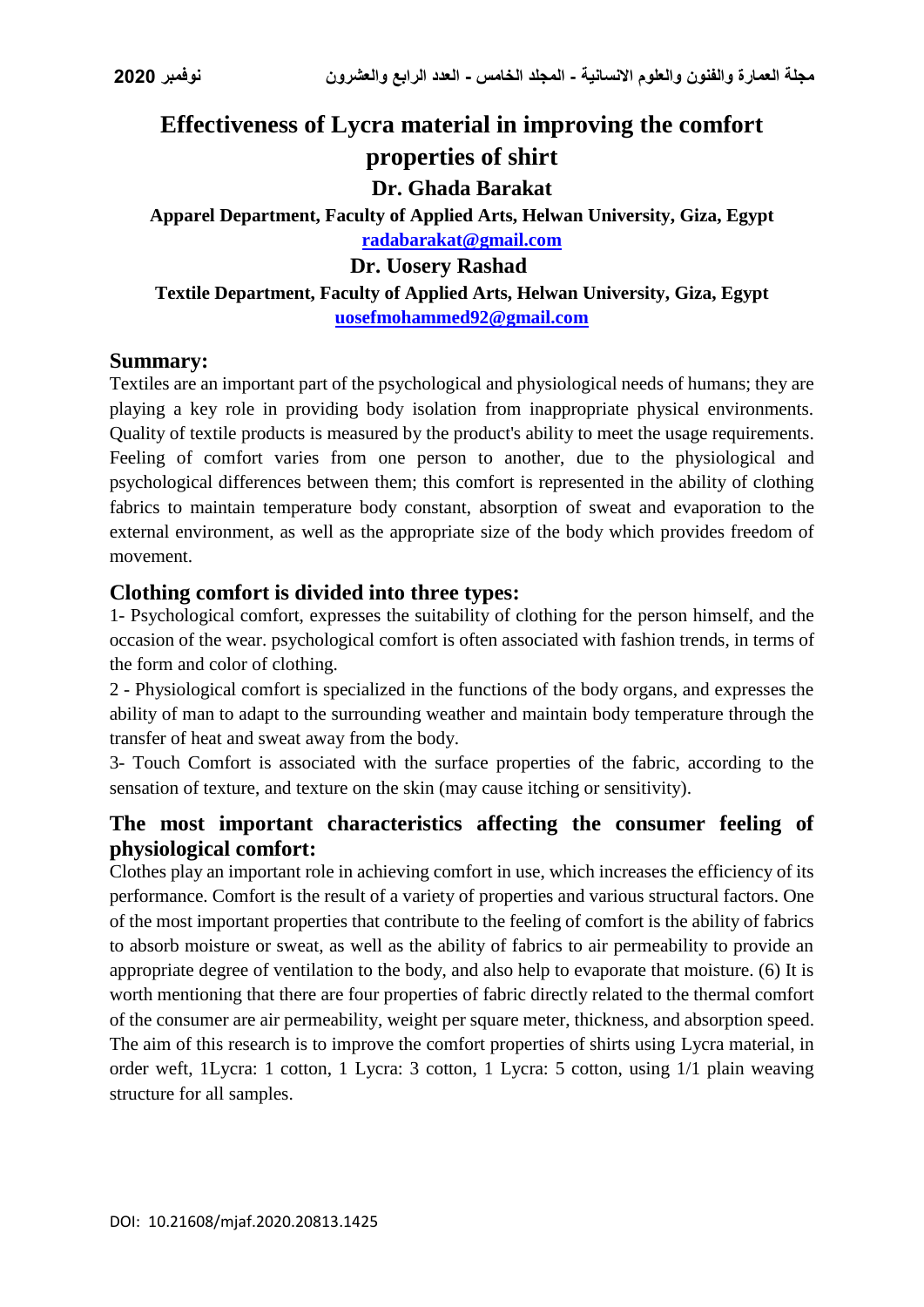# **Effectiveness of Lycra material in improving the comfort properties of shirt Dr. Ghada Barakat Apparel Department, Faculty of Applied Arts, Helwan University, Giza, Egypt [radabarakat@gmail.com](mailto:radabarakat@gmail.com) Dr. Uosery Rashad Textile Department, Faculty of Applied Arts, Helwan University, Giza, Egypt [uosefmohammed92@gmail.com](mailto:uosefmohammed92@gmail.com)**

#### **Summary:**

Textiles are an important part of the psychological and physiological needs of humans; they are playing a key role in providing body isolation from inappropriate physical environments. Quality of textile products is measured by the product's ability to meet the usage requirements. Feeling of comfort varies from one person to another, due to the physiological and psychological differences between them; this comfort is represented in the ability of clothing fabrics to maintain temperature body constant, absorption of sweat and evaporation to the external environment, as well as the appropriate size of the body which provides freedom of movement.

### **Clothing comfort is divided into three types:**

1- Psychological comfort, expresses the suitability of clothing for the person himself, and the occasion of the wear. psychological comfort is often associated with fashion trends, in terms of the form and color of clothing.

2 - Physiological comfort is specialized in the functions of the body organs, and expresses the ability of man to adapt to the surrounding weather and maintain body temperature through the transfer of heat and sweat away from the body.

3- Touch Comfort is associated with the surface properties of the fabric, according to the sensation of texture, and texture on the skin (may cause itching or sensitivity).

## **The most important characteristics affecting the consumer feeling of physiological comfort:**

Clothes play an important role in achieving comfort in use, which increases the efficiency of its performance. Comfort is the result of a variety of properties and various structural factors. One of the most important properties that contribute to the feeling of comfort is the ability of fabrics to absorb moisture or sweat, as well as the ability of fabrics to air permeability to provide an appropriate degree of ventilation to the body, and also help to evaporate that moisture. (6) It is worth mentioning that there are four properties of fabric directly related to the thermal comfort of the consumer are air permeability, weight per square meter, thickness, and absorption speed. The aim of this research is to improve the comfort properties of shirts using Lycra material, in order weft, 1Lycra: 1 cotton, 1 Lycra: 3 cotton, 1 Lycra: 5 cotton, using 1/1 plain weaving structure for all samples.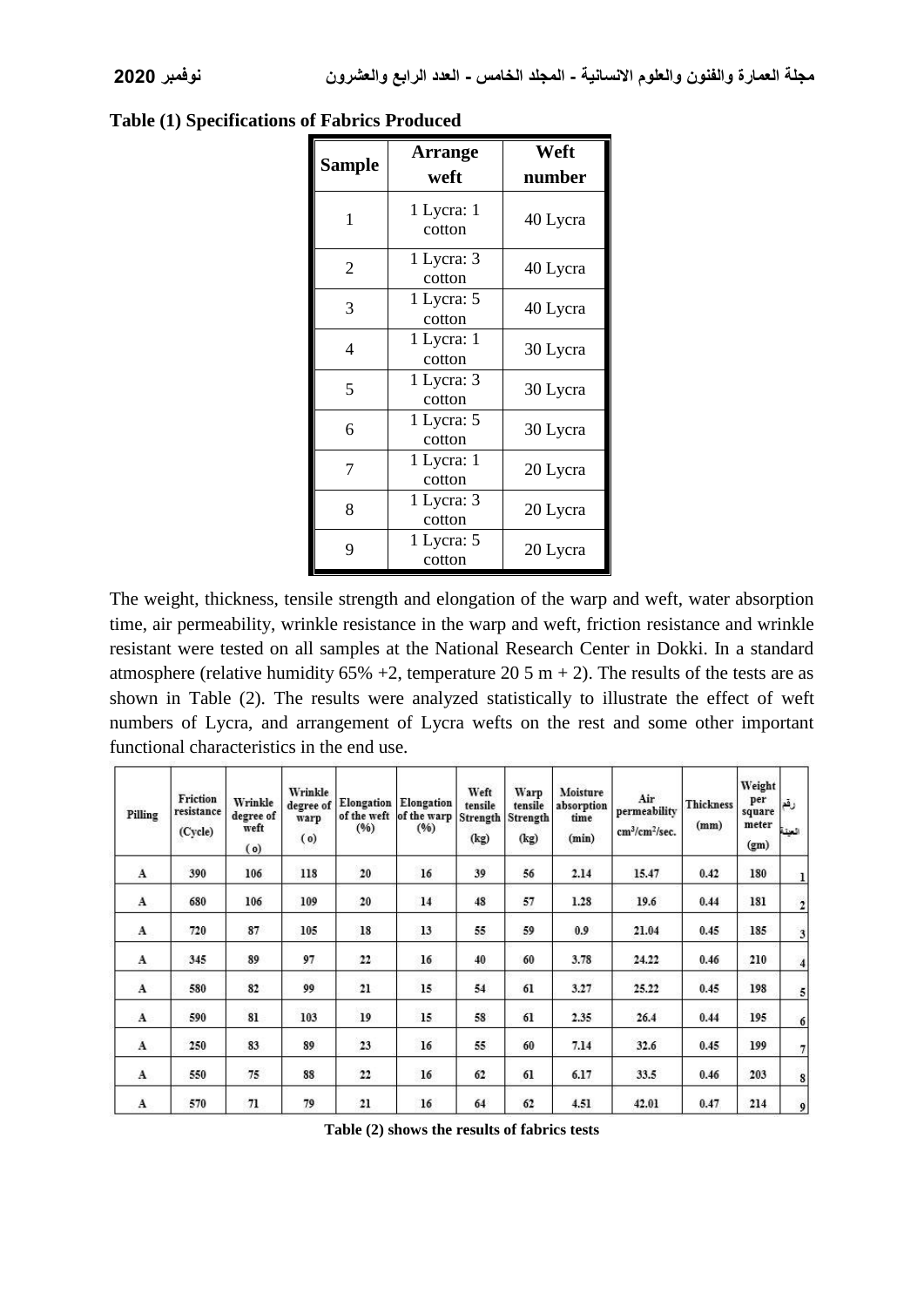| Sample         | <b>Arrange</b><br>weft | Weft<br>number |  |  |
|----------------|------------------------|----------------|--|--|
| 1              | 1 Lycra: 1<br>cotton   | 40 Lycra       |  |  |
| $\overline{2}$ | 1 Lycra: 3<br>cotton   | 40 Lycra       |  |  |
| 3              | 1 Lycra: 5<br>cotton   | 40 Lycra       |  |  |
| 4              | 1 Lycra: 1<br>cotton   | 30 Lycra       |  |  |
| 5              | 1 Lycra: 3<br>cotton   | 30 Lycra       |  |  |
| 6              | 1 Lycra: 5<br>cotton   | 30 Lycra       |  |  |
| 7              | 1 Lycra: 1<br>cotton   | 20 Lycra       |  |  |
| 8              | 1 Lycra: 3<br>cotton   | 20 Lycra       |  |  |
| 9              | 1 Lycra: 5<br>cotton   | 20 Lycra       |  |  |

#### **Table (1) Specifications of Fabrics Produced**

The weight, thickness, tensile strength and elongation of the warp and weft, water absorption time, air permeability, wrinkle resistance in the warp and weft, friction resistance and wrinkle resistant were tested on all samples at the National Research Center in Dokki. In a standard atmosphere (relative humidity  $65\% +2$ , temperature  $20.5$  m + 2). The results of the tests are as shown in Table (2). The results were analyzed statistically to illustrate the effect of weft numbers of Lycra, and arrangement of Lycra wefts on the rest and some other important functional characteristics in the end use.

| Pilling        | Friction<br>resistance<br>(Cycle) | Wrinkle<br>degree of<br>weft<br>(0) | Wrinkle<br>warp<br>(o) | (96)              | degree of Elongation Elongation<br>of the weft of the warp<br>(96) | Weft<br>tensile<br>Strength<br>(kg) | Warp<br>tensile<br>Strength<br>(kg) | Moisture<br>absorption<br>time<br>(min) | Air<br>permeability<br>cm <sup>3</sup> /cm <sup>2</sup> /sec. | <b>Thickness</b><br>(mm) | Weight<br>per<br>square<br>meter<br>(g <sub>m</sub> ) | رقع<br>السنة            |
|----------------|-----------------------------------|-------------------------------------|------------------------|-------------------|--------------------------------------------------------------------|-------------------------------------|-------------------------------------|-----------------------------------------|---------------------------------------------------------------|--------------------------|-------------------------------------------------------|-------------------------|
| $\overline{A}$ | 390                               | 106                                 | 118                    | 20                | 16                                                                 | 39                                  | 56                                  | 2.14                                    | 15.47                                                         | 0.42                     | 180                                                   | $\mathbf{1}$            |
| A              | 680                               | 106                                 | 109                    | 20                | 14                                                                 | 48                                  | 57                                  | 1.28                                    | 19.6                                                          | 0.44                     | 181                                                   | $\overline{2}$          |
| A              | 720                               | 87                                  | 105                    | 18                | 13                                                                 | 55                                  | 59                                  | 0.9                                     | 21.04                                                         | 0.45                     | 185                                                   | $\overline{\mathbf{3}}$ |
| A              | 345                               | 89                                  | 97                     | 22                | 16                                                                 | 40                                  | 60                                  | 3.78                                    | 24.22                                                         | 0.46                     | 210                                                   | $\overline{4}$          |
| $\mathbf{A}$   | 580                               | 82                                  | 99                     | 21                | 15                                                                 | 54                                  | 61                                  | 3.27                                    | 25.22                                                         | 0.45                     | 198                                                   | 5                       |
| A              | 590                               | 81                                  | 103                    | <b>SERE</b><br>19 | 15                                                                 | 58                                  | 000<br>61                           | 2.35                                    | 26.4                                                          | 0.44                     | 195                                                   | $6 \overline{6}$        |
| A              | 250                               | 83                                  | 89                     | 23                | 16                                                                 | 55                                  | 60                                  | 7.14                                    | 32.6                                                          | 0.45                     | 199                                                   | 7                       |
| $\mathbf{A}$   | 550                               | 75                                  | 88                     | 22                | 16                                                                 | 62                                  | 61                                  | 6.17                                    | 33.5                                                          | 0.46                     | 203                                                   | 8                       |
| A              | 570                               | 71                                  | 79                     | 21                | 16                                                                 | 64                                  | 62                                  | 4.51                                    | 42.01                                                         | 0.47                     | 214                                                   | $\mathfrak{g}$          |

**Table (2) shows the results of fabrics tests**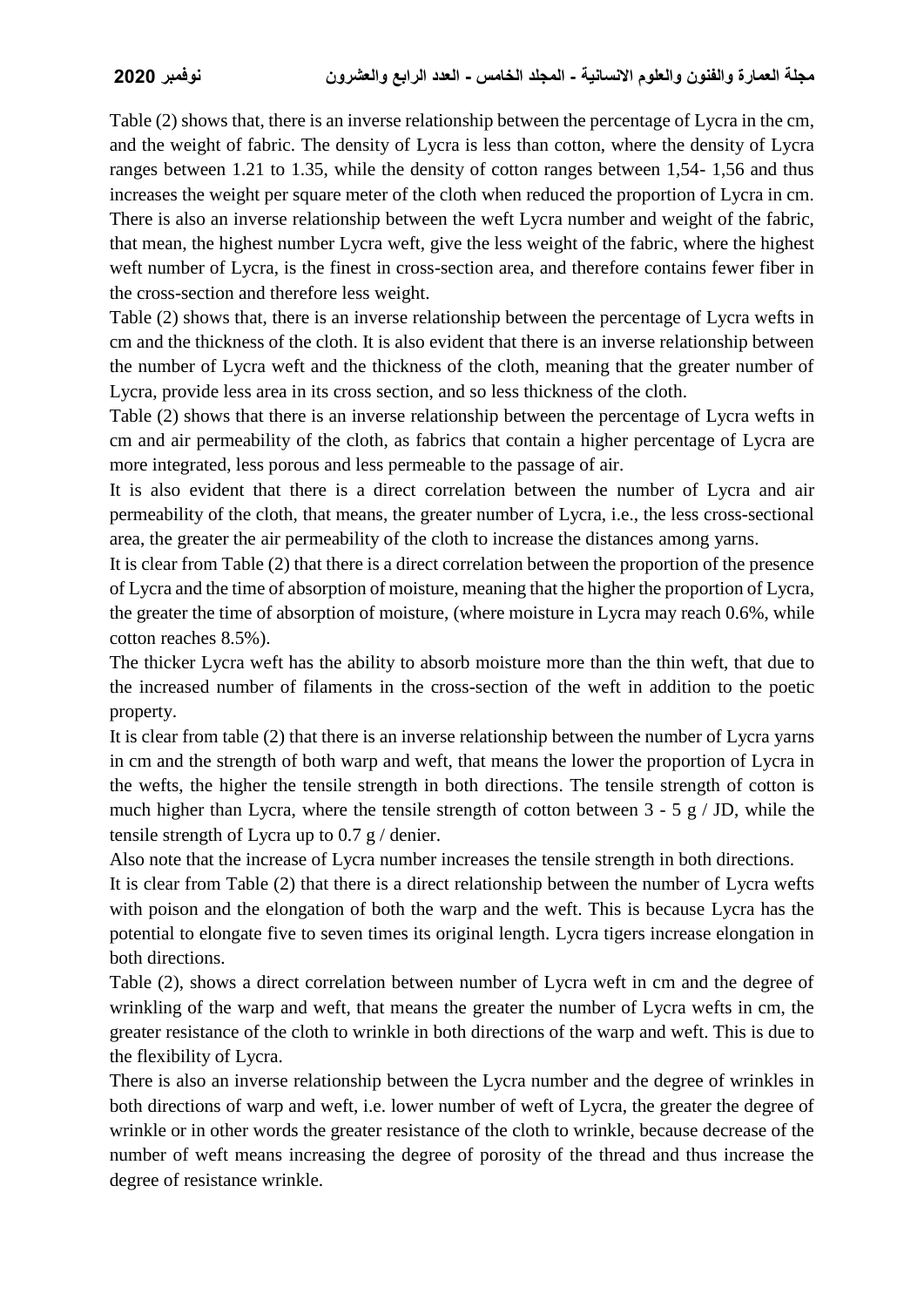Table (2) shows that, there is an inverse relationship between the percentage of Lycra in the cm, and the weight of fabric. The density of Lycra is less than cotton, where the density of Lycra ranges between 1.21 to 1.35, while the density of cotton ranges between 1,54- 1,56 and thus increases the weight per square meter of the cloth when reduced the proportion of Lycra in cm. There is also an inverse relationship between the weft Lycra number and weight of the fabric, that mean, the highest number Lycra weft, give the less weight of the fabric, where the highest weft number of Lycra, is the finest in cross-section area, and therefore contains fewer fiber in the cross-section and therefore less weight.

Table (2) shows that, there is an inverse relationship between the percentage of Lycra wefts in cm and the thickness of the cloth. It is also evident that there is an inverse relationship between the number of Lycra weft and the thickness of the cloth, meaning that the greater number of Lycra, provide less area in its cross section, and so less thickness of the cloth.

Table (2) shows that there is an inverse relationship between the percentage of Lycra wefts in cm and air permeability of the cloth, as fabrics that contain a higher percentage of Lycra are more integrated, less porous and less permeable to the passage of air.

It is also evident that there is a direct correlation between the number of Lycra and air permeability of the cloth, that means, the greater number of Lycra, i.e., the less cross-sectional area, the greater the air permeability of the cloth to increase the distances among yarns.

It is clear from Table (2) that there is a direct correlation between the proportion of the presence of Lycra and the time of absorption of moisture, meaning that the higher the proportion of Lycra, the greater the time of absorption of moisture, (where moisture in Lycra may reach 0.6%, while cotton reaches 8.5%).

The thicker Lycra weft has the ability to absorb moisture more than the thin weft, that due to the increased number of filaments in the cross-section of the weft in addition to the poetic property.

It is clear from table (2) that there is an inverse relationship between the number of Lycra yarns in cm and the strength of both warp and weft, that means the lower the proportion of Lycra in the wefts, the higher the tensile strength in both directions. The tensile strength of cotton is much higher than Lycra, where the tensile strength of cotton between  $3 - 5$  g / JD, while the tensile strength of Lycra up to 0.7 g / denier.

Also note that the increase of Lycra number increases the tensile strength in both directions.

It is clear from Table (2) that there is a direct relationship between the number of Lycra wefts with poison and the elongation of both the warp and the weft. This is because Lycra has the potential to elongate five to seven times its original length. Lycra tigers increase elongation in both directions.

Table (2), shows a direct correlation between number of Lycra weft in cm and the degree of wrinkling of the warp and weft, that means the greater the number of Lycra wefts in cm, the greater resistance of the cloth to wrinkle in both directions of the warp and weft. This is due to the flexibility of Lycra.

There is also an inverse relationship between the Lycra number and the degree of wrinkles in both directions of warp and weft, i.e. lower number of weft of Lycra, the greater the degree of wrinkle or in other words the greater resistance of the cloth to wrinkle, because decrease of the number of weft means increasing the degree of porosity of the thread and thus increase the degree of resistance wrinkle.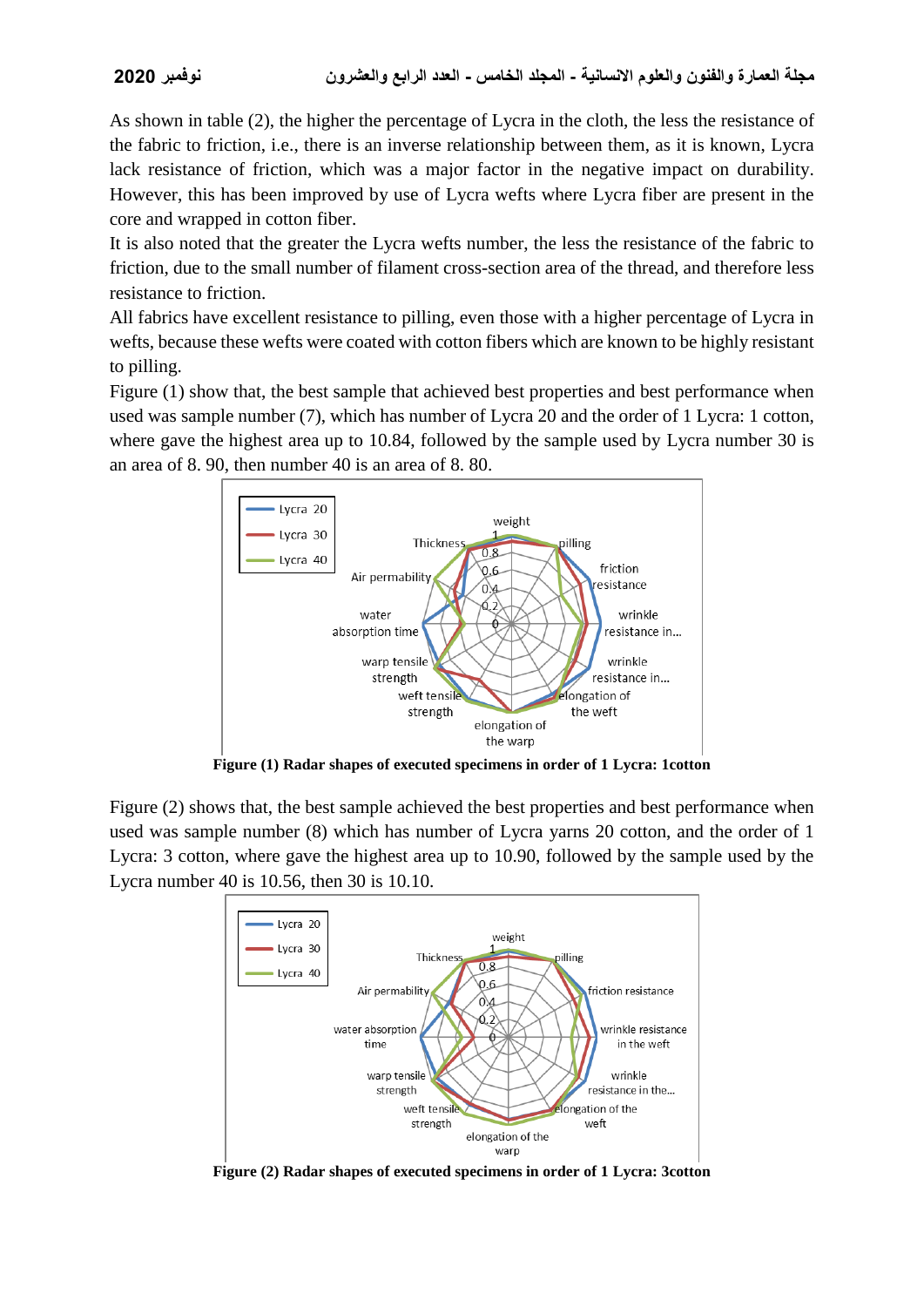As shown in table (2), the higher the percentage of Lycra in the cloth, the less the resistance of the fabric to friction, i.e., there is an inverse relationship between them, as it is known, Lycra lack resistance of friction, which was a major factor in the negative impact on durability. However, this has been improved by use of Lycra wefts where Lycra fiber are present in the core and wrapped in cotton fiber.

It is also noted that the greater the Lycra wefts number, the less the resistance of the fabric to friction, due to the small number of filament cross-section area of the thread, and therefore less resistance to friction.

All fabrics have excellent resistance to pilling, even those with a higher percentage of Lycra in wefts, because these wefts were coated with cotton fibers which are known to be highly resistant to pilling.

Figure (1) show that, the best sample that achieved best properties and best performance when used was sample number (7), which has number of Lycra 20 and the order of 1 Lycra: 1 cotton, where gave the highest area up to 10.84, followed by the sample used by Lycra number 30 is an area of 8. 90, then number 40 is an area of 8. 80.



**Figure (1) Radar shapes of executed specimens in order of 1 Lycra: 1cotton**

Figure (2) shows that, the best sample achieved the best properties and best performance when used was sample number (8) which has number of Lycra yarns 20 cotton, and the order of 1 Lycra: 3 cotton, where gave the highest area up to 10.90, followed by the sample used by the Lycra number 40 is 10.56, then 30 is 10.10.



**Figure (2) Radar shapes of executed specimens in order of 1 Lycra: 3cotton**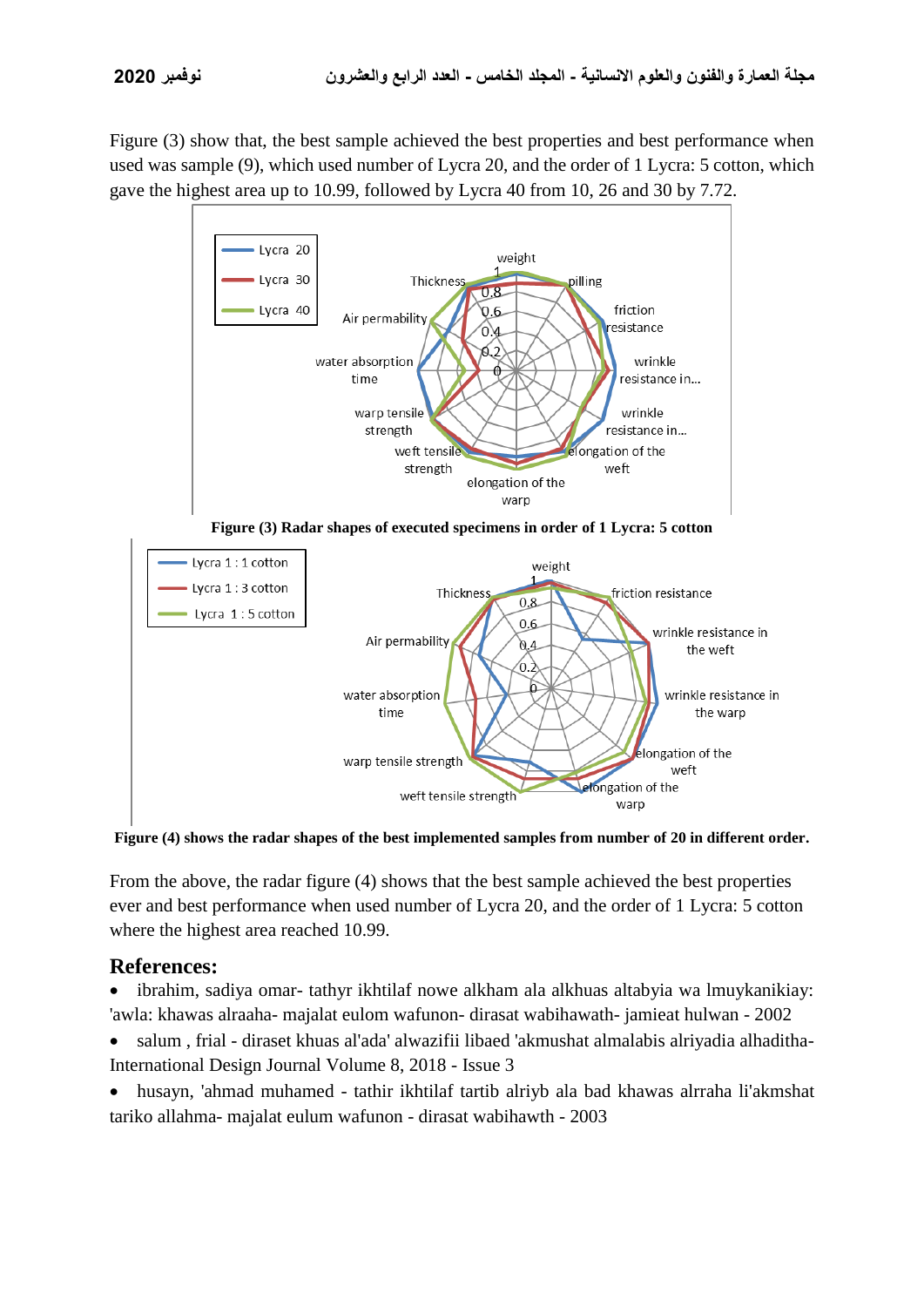Figure  $(3)$  show that, the best sample achieved the best properties and best performance when used was sample (9), which used number of Lycra 20, and the order of 1 Lycra: 5 cotton, which gave the highest area up to 10.99, followed by Lycra 40 from 10, 26 and 30 by 7.72.



**Figure (3) Radar shapes of executed specimens in order of 1 Lycra: 5 cotton**



**Figure (4) shows the radar shapes of the best implemented samples from number of 20 in different order.**

From the above, the radar figure (4) shows that the best sample achieved the best properties ever and best performance when used number of Lycra 20, and the order of 1 Lycra: 5 cotton where the highest area reached 10.99.

## **References:**

- ibrahim, sadiya omar- tathyr ikhtilaf nowe alkham ala alkhuas altabyia wa lmuykanikiay: 'awla: khawas alraaha- majalat eulom wafunon- dirasat wabihawath- jamieat hulwan - 2002
- salum , frial diraset khuas al'ada' alwazifii libaed 'akmushat almalabis alriyadia alhaditha-International Design Journal Volume 8, 2018 - Issue 3
- husayn, 'ahmad muhamed tathir ikhtilaf tartib alriyb ala bad khawas alrraha li'akmshat tariko allahma- majalat eulum wafunon - dirasat wabihawth - 2003